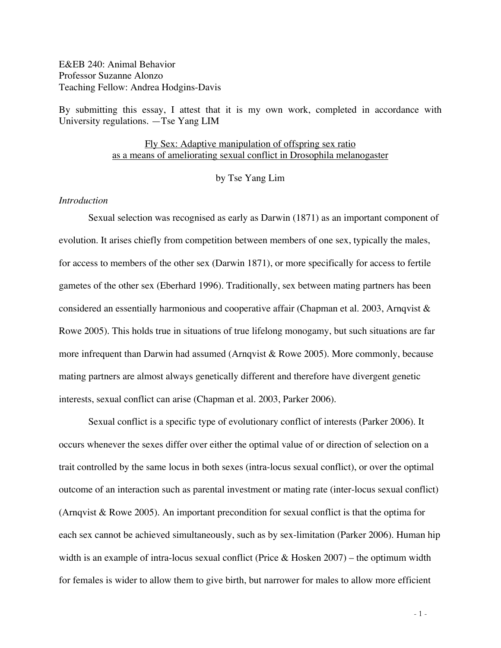E&EB 240: Animal Behavior Professor Suzanne Alonzo Teaching Fellow: Andrea Hodgins-Davis

By submitting this essay, I attest that it is my own work, completed in accordance with University regulations. —Tse Yang LIM

## Fly Sex: Adaptive manipulation of offspring sex ratio as a means of ameliorating sexual conflict in Drosophila melanogaster

by Tse Yang Lim

### *Introduction*

Sexual selection was recognised as early as Darwin (1871) as an important component of evolution. It arises chiefly from competition between members of one sex, typically the males, for access to members of the other sex (Darwin 1871), or more specifically for access to fertile gametes of the other sex (Eberhard 1996). Traditionally, sex between mating partners has been considered an essentially harmonious and cooperative affair (Chapman et al. 2003, Arnqvist & Rowe 2005). This holds true in situations of true lifelong monogamy, but such situations are far more infrequent than Darwin had assumed (Arnqvist & Rowe 2005). More commonly, because mating partners are almost always genetically different and therefore have divergent genetic interests, sexual conflict can arise (Chapman et al. 2003, Parker 2006).

Sexual conflict is a specific type of evolutionary conflict of interests (Parker 2006). It occurs whenever the sexes differ over either the optimal value of or direction of selection on a trait controlled by the same locus in both sexes (intra-locus sexual conflict), or over the optimal outcome of an interaction such as parental investment or mating rate (inter-locus sexual conflict) (Arnqvist & Rowe 2005). An important precondition for sexual conflict is that the optima for each sex cannot be achieved simultaneously, such as by sex-limitation (Parker 2006). Human hip width is an example of intra-locus sexual conflict (Price & Hosken  $2007$ ) – the optimum width for females is wider to allow them to give birth, but narrower for males to allow more efficient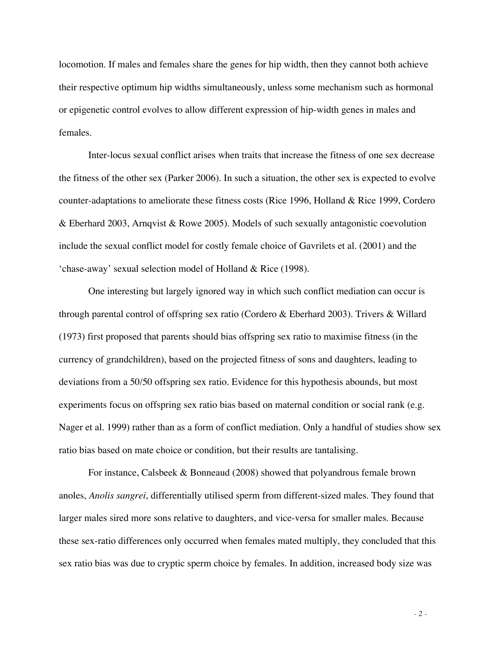locomotion. If males and females share the genes for hip width, then they cannot both achieve their respective optimum hip widths simultaneously, unless some mechanism such as hormonal or epigenetic control evolves to allow different expression of hip-width genes in males and females.

Inter-locus sexual conflict arises when traits that increase the fitness of one sex decrease the fitness of the other sex (Parker 2006). In such a situation, the other sex is expected to evolve counter-adaptations to ameliorate these fitness costs (Rice 1996, Holland & Rice 1999, Cordero & Eberhard 2003, Arnqvist & Rowe 2005). Models of such sexually antagonistic coevolution include the sexual conflict model for costly female choice of Gavrilets et al. (2001) and the 'chase-away' sexual selection model of Holland & Rice (1998).

One interesting but largely ignored way in which such conflict mediation can occur is through parental control of offspring sex ratio (Cordero & Eberhard 2003). Trivers & Willard (1973) first proposed that parents should bias offspring sex ratio to maximise fitness (in the currency of grandchildren), based on the projected fitness of sons and daughters, leading to deviations from a 50/50 offspring sex ratio. Evidence for this hypothesis abounds, but most experiments focus on offspring sex ratio bias based on maternal condition or social rank (e.g. Nager et al. 1999) rather than as a form of conflict mediation. Only a handful of studies show sex ratio bias based on mate choice or condition, but their results are tantalising.

For instance, Calsbeek & Bonneaud (2008) showed that polyandrous female brown anoles, *Anolis sangrei*, differentially utilised sperm from different-sized males. They found that larger males sired more sons relative to daughters, and vice-versa for smaller males. Because these sex-ratio differences only occurred when females mated multiply, they concluded that this sex ratio bias was due to cryptic sperm choice by females. In addition, increased body size was

- 2 -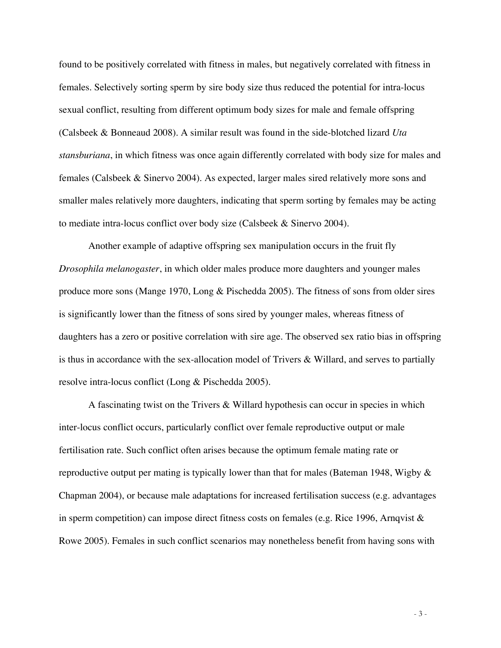found to be positively correlated with fitness in males, but negatively correlated with fitness in females. Selectively sorting sperm by sire body size thus reduced the potential for intra-locus sexual conflict, resulting from different optimum body sizes for male and female offspring (Calsbeek & Bonneaud 2008). A similar result was found in the side-blotched lizard *Uta stansburiana*, in which fitness was once again differently correlated with body size for males and females (Calsbeek & Sinervo 2004). As expected, larger males sired relatively more sons and smaller males relatively more daughters, indicating that sperm sorting by females may be acting to mediate intra-locus conflict over body size (Calsbeek & Sinervo 2004).

Another example of adaptive offspring sex manipulation occurs in the fruit fly *Drosophila melanogaster*, in which older males produce more daughters and younger males produce more sons (Mange 1970, Long & Pischedda 2005). The fitness of sons from older sires is significantly lower than the fitness of sons sired by younger males, whereas fitness of daughters has a zero or positive correlation with sire age. The observed sex ratio bias in offspring is thus in accordance with the sex-allocation model of Trivers & Willard, and serves to partially resolve intra-locus conflict (Long & Pischedda 2005).

A fascinating twist on the Trivers & Willard hypothesis can occur in species in which inter-locus conflict occurs, particularly conflict over female reproductive output or male fertilisation rate. Such conflict often arises because the optimum female mating rate or reproductive output per mating is typically lower than that for males (Bateman 1948, Wigby  $\&$ Chapman 2004), or because male adaptations for increased fertilisation success (e.g. advantages in sperm competition) can impose direct fitness costs on females (e.g. Rice 1996, Arnqvist  $\&$ Rowe 2005). Females in such conflict scenarios may nonetheless benefit from having sons with

- 3 -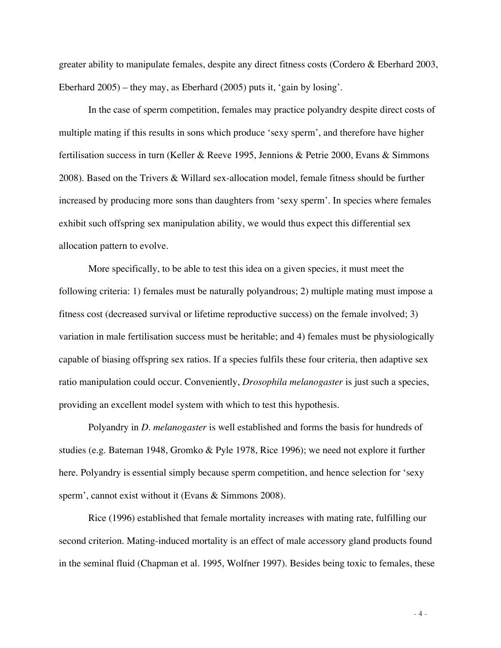greater ability to manipulate females, despite any direct fitness costs (Cordero & Eberhard 2003, Eberhard 2005) – they may, as Eberhard (2005) puts it, 'gain by losing'.

In the case of sperm competition, females may practice polyandry despite direct costs of multiple mating if this results in sons which produce 'sexy sperm', and therefore have higher fertilisation success in turn (Keller & Reeve 1995, Jennions & Petrie 2000, Evans & Simmons 2008). Based on the Trivers & Willard sex-allocation model, female fitness should be further increased by producing more sons than daughters from 'sexy sperm'. In species where females exhibit such offspring sex manipulation ability, we would thus expect this differential sex allocation pattern to evolve.

More specifically, to be able to test this idea on a given species, it must meet the following criteria: 1) females must be naturally polyandrous; 2) multiple mating must impose a fitness cost (decreased survival or lifetime reproductive success) on the female involved; 3) variation in male fertilisation success must be heritable; and 4) females must be physiologically capable of biasing offspring sex ratios. If a species fulfils these four criteria, then adaptive sex ratio manipulation could occur. Conveniently, *Drosophila melanogaster* is just such a species, providing an excellent model system with which to test this hypothesis.

Polyandry in *D. melanogaster* is well established and forms the basis for hundreds of studies (e.g. Bateman 1948, Gromko & Pyle 1978, Rice 1996); we need not explore it further here. Polyandry is essential simply because sperm competition, and hence selection for 'sexy sperm', cannot exist without it (Evans & Simmons 2008).

Rice (1996) established that female mortality increases with mating rate, fulfilling our second criterion. Mating-induced mortality is an effect of male accessory gland products found in the seminal fluid (Chapman et al. 1995, Wolfner 1997). Besides being toxic to females, these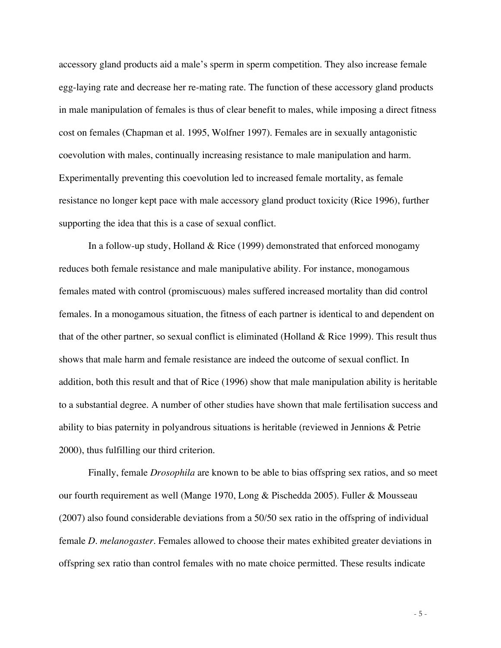accessory gland products aid a male's sperm in sperm competition. They also increase female egg-laying rate and decrease her re-mating rate. The function of these accessory gland products in male manipulation of females is thus of clear benefit to males, while imposing a direct fitness cost on females (Chapman et al. 1995, Wolfner 1997). Females are in sexually antagonistic coevolution with males, continually increasing resistance to male manipulation and harm. Experimentally preventing this coevolution led to increased female mortality, as female resistance no longer kept pace with male accessory gland product toxicity (Rice 1996), further supporting the idea that this is a case of sexual conflict.

In a follow-up study, Holland & Rice (1999) demonstrated that enforced monogamy reduces both female resistance and male manipulative ability. For instance, monogamous females mated with control (promiscuous) males suffered increased mortality than did control females. In a monogamous situation, the fitness of each partner is identical to and dependent on that of the other partner, so sexual conflict is eliminated (Holland & Rice 1999). This result thus shows that male harm and female resistance are indeed the outcome of sexual conflict. In addition, both this result and that of Rice (1996) show that male manipulation ability is heritable to a substantial degree. A number of other studies have shown that male fertilisation success and ability to bias paternity in polyandrous situations is heritable (reviewed in Jennions & Petrie 2000), thus fulfilling our third criterion.

Finally, female *Drosophila* are known to be able to bias offspring sex ratios, and so meet our fourth requirement as well (Mange 1970, Long & Pischedda 2005). Fuller & Mousseau (2007) also found considerable deviations from a 50/50 sex ratio in the offspring of individual female *D. melanogaster*. Females allowed to choose their mates exhibited greater deviations in offspring sex ratio than control females with no mate choice permitted. These results indicate

- 5 -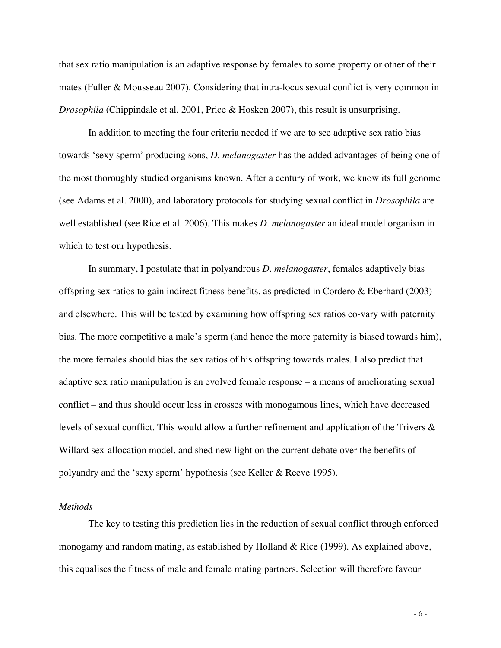that sex ratio manipulation is an adaptive response by females to some property or other of their mates (Fuller & Mousseau 2007). Considering that intra-locus sexual conflict is very common in *Drosophila* (Chippindale et al. 2001, Price & Hosken 2007), this result is unsurprising.

In addition to meeting the four criteria needed if we are to see adaptive sex ratio bias towards 'sexy sperm' producing sons, *D. melanogaster* has the added advantages of being one of the most thoroughly studied organisms known. After a century of work, we know its full genome (see Adams et al. 2000), and laboratory protocols for studying sexual conflict in *Drosophila* are well established (see Rice et al. 2006). This makes *D. melanogaster* an ideal model organism in which to test our hypothesis.

In summary, I postulate that in polyandrous *D. melanogaster*, females adaptively bias offspring sex ratios to gain indirect fitness benefits, as predicted in Cordero & Eberhard (2003) and elsewhere. This will be tested by examining how offspring sex ratios co-vary with paternity bias. The more competitive a male's sperm (and hence the more paternity is biased towards him), the more females should bias the sex ratios of his offspring towards males. I also predict that adaptive sex ratio manipulation is an evolved female response – a means of ameliorating sexual conflict – and thus should occur less in crosses with monogamous lines, which have decreased levels of sexual conflict. This would allow a further refinement and application of the Trivers & Willard sex-allocation model, and shed new light on the current debate over the benefits of polyandry and the 'sexy sperm' hypothesis (see Keller & Reeve 1995).

### *Methods*

The key to testing this prediction lies in the reduction of sexual conflict through enforced monogamy and random mating, as established by Holland & Rice (1999). As explained above, this equalises the fitness of male and female mating partners. Selection will therefore favour

- 6 -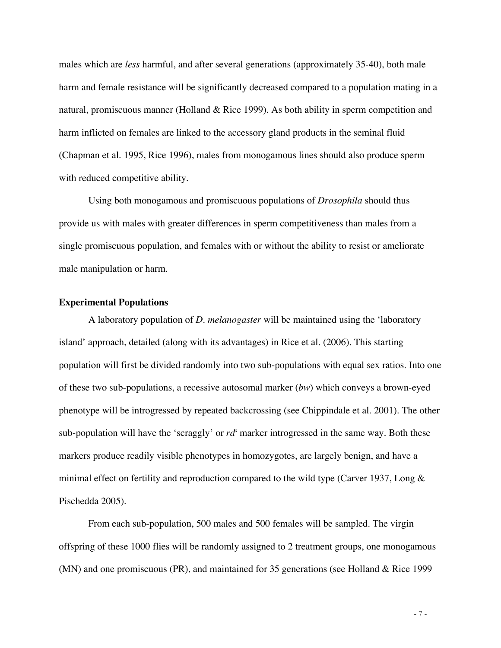males which are *less* harmful, and after several generations (approximately 35-40), both male harm and female resistance will be significantly decreased compared to a population mating in a natural, promiscuous manner (Holland & Rice 1999). As both ability in sperm competition and harm inflicted on females are linked to the accessory gland products in the seminal fluid (Chapman et al. 1995, Rice 1996), males from monogamous lines should also produce sperm with reduced competitive ability.

Using both monogamous and promiscuous populations of *Drosophila* should thus provide us with males with greater differences in sperm competitiveness than males from a single promiscuous population, and females with or without the ability to resist or ameliorate male manipulation or harm.

#### **Experimental Populations**

A laboratory population of *D. melanogaster* will be maintained using the 'laboratory island' approach, detailed (along with its advantages) in Rice et al. (2006). This starting population will first be divided randomly into two sub-populations with equal sex ratios. Into one of these two sub-populations, a recessive autosomal marker (*bw*) which conveys a brown-eyed phenotype will be introgressed by repeated backcrossing (see Chippindale et al. 2001). The other sub-population will have the 'scraggly' or  $rd^s$  marker introgressed in the same way. Both these markers produce readily visible phenotypes in homozygotes, are largely benign, and have a minimal effect on fertility and reproduction compared to the wild type (Carver 1937, Long & Pischedda 2005).

From each sub-population, 500 males and 500 females will be sampled. The virgin offspring of these 1000 flies will be randomly assigned to 2 treatment groups, one monogamous (MN) and one promiscuous (PR), and maintained for 35 generations (see Holland & Rice 1999

- 7 -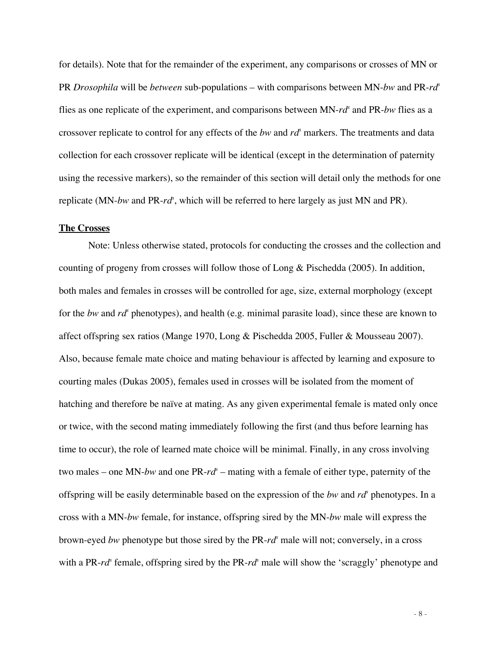for details). Note that for the remainder of the experiment, any comparisons or crosses of MN or PR *Drosophila* will be *between* sub-populations – with comparisons between MN-*bw* and PR-*rd<sup>s</sup>* flies as one replicate of the experiment, and comparisons between MN- $rd^s$  and PR-bw flies as a crossover replicate to control for any effects of the *bw* and *rd<sup>s</sup>* markers. The treatments and data collection for each crossover replicate will be identical (except in the determination of paternity using the recessive markers), so the remainder of this section will detail only the methods for one replicate (MN-*bw* and PR-*rd<sup>s</sup>* , which will be referred to here largely as just MN and PR).

#### **The Crosses**

Note: Unless otherwise stated, protocols for conducting the crosses and the collection and counting of progeny from crosses will follow those of Long & Pischedda (2005). In addition, both males and females in crosses will be controlled for age, size, external morphology (except for the *bw* and *rd*<sup>*s*</sup> phenotypes), and health (e.g. minimal parasite load), since these are known to affect offspring sex ratios (Mange 1970, Long & Pischedda 2005, Fuller & Mousseau 2007). Also, because female mate choice and mating behaviour is affected by learning and exposure to courting males (Dukas 2005), females used in crosses will be isolated from the moment of hatching and therefore be naïve at mating. As any given experimental female is mated only once or twice, with the second mating immediately following the first (and thus before learning has time to occur), the role of learned mate choice will be minimal. Finally, in any cross involving two males – one MN-*bw* and one PR-*rd<sup>s</sup>* – mating with a female of either type, paternity of the offspring will be easily determinable based on the expression of the *bw* and *rd<sup>s</sup>* phenotypes. In a cross with a MN-*bw* female, for instance, offspring sired by the MN-*bw* male will express the brown-eyed *bw* phenotype but those sired by the PR-*rd<sup>s</sup>* male will not; conversely, in a cross with a PR-*rd<sup>s</sup>* female, offspring sired by the PR-*rd<sup>s</sup>* male will show the 'scraggly' phenotype and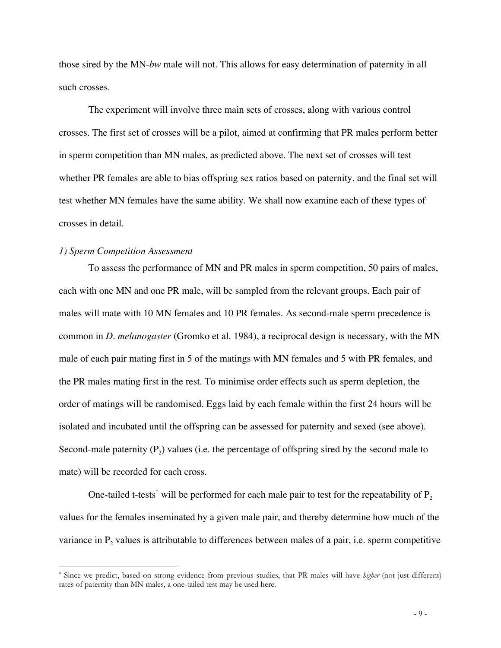those sired by the MN-*bw* male will not. This allows for easy determination of paternity in all such crosses.

The experiment will involve three main sets of crosses, along with various control crosses. The first set of crosses will be a pilot, aimed at confirming that PR males perform better in sperm competition than MN males, as predicted above. The next set of crosses will test whether PR females are able to bias offspring sex ratios based on paternity, and the final set will test whether MN females have the same ability. We shall now examine each of these types of crosses in detail.

#### *1) Sperm Competition Assessment*

 $\overline{a}$ 

To assess the performance of MN and PR males in sperm competition, 50 pairs of males, each with one MN and one PR male, will be sampled from the relevant groups. Each pair of males will mate with 10 MN females and 10 PR females. As second-male sperm precedence is common in *D. melanogaster* (Gromko et al. 1984), a reciprocal design is necessary, with the MN male of each pair mating first in 5 of the matings with MN females and 5 with PR females, and the PR males mating first in the rest. To minimise order effects such as sperm depletion, the order of matings will be randomised. Eggs laid by each female within the first 24 hours will be isolated and incubated until the offspring can be assessed for paternity and sexed (see above). Second-male paternity  $(P_2)$  values (i.e. the percentage of offspring sired by the second male to mate) will be recorded for each cross.

One-tailed t-tests<sup>\*</sup> will be performed for each male pair to test for the repeatability of  $P_2$ values for the females inseminated by a given male pair, and thereby determine how much of the variance in  $P_2$  values is attributable to differences between males of a pair, i.e. sperm competitive

<sup>\*</sup> Since we predict, based on strong evidence from previous studies, that PR males will have *higher* (not just different) rates of paternity than MN males, a one-tailed test may be used here.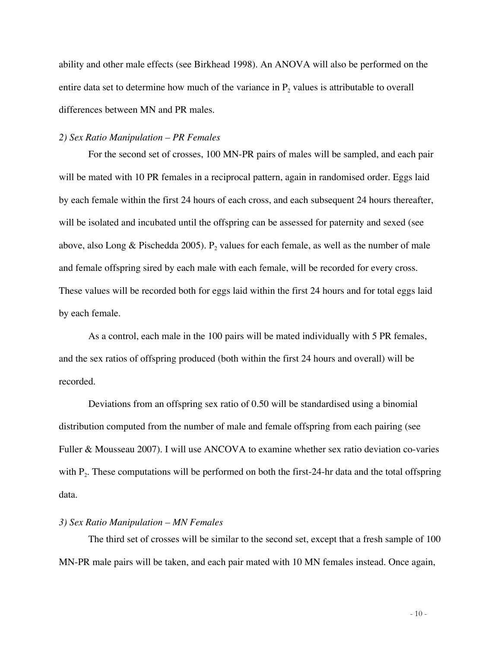ability and other male effects (see Birkhead 1998). An ANOVA will also be performed on the entire data set to determine how much of the variance in  $P_2$  values is attributable to overall differences between MN and PR males.

#### *2) Sex Ratio Manipulation – PR Females*

For the second set of crosses, 100 MN-PR pairs of males will be sampled, and each pair will be mated with 10 PR females in a reciprocal pattern, again in randomised order. Eggs laid by each female within the first 24 hours of each cross, and each subsequent 24 hours thereafter, will be isolated and incubated until the offspring can be assessed for paternity and sexed (see above, also Long & Pischedda 2005). P<sub>2</sub> values for each female, as well as the number of male and female offspring sired by each male with each female, will be recorded for every cross. These values will be recorded both for eggs laid within the first 24 hours and for total eggs laid by each female.

As a control, each male in the 100 pairs will be mated individually with 5 PR females, and the sex ratios of offspring produced (both within the first 24 hours and overall) will be recorded.

Deviations from an offspring sex ratio of 0.50 will be standardised using a binomial distribution computed from the number of male and female offspring from each pairing (see Fuller & Mousseau 2007). I will use ANCOVA to examine whether sex ratio deviation co-varies with  $P_2$ . These computations will be performed on both the first-24-hr data and the total offspring data.

#### *3) Sex Ratio Manipulation – MN Females*

The third set of crosses will be similar to the second set, except that a fresh sample of 100 MN-PR male pairs will be taken, and each pair mated with 10 MN females instead. Once again,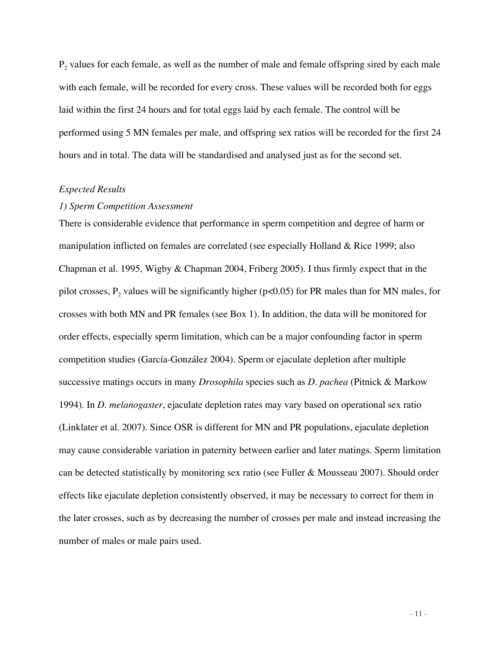$P<sub>2</sub>$  values for each female, as well as the number of male and female offspring sired by each male with each female, will be recorded for every cross. These values will be recorded both for eggs laid within the first 24 hours and for total eggs laid by each female. The control will be performed using 5 MN females per male, and offspring sex ratios will be recorded for the first 24 hours and in total. The data will be standardised and analysed just as for the second set.

#### *Expected Results*

#### *1) Sperm Competition Assessment*

There is considerable evidence that performance in sperm competition and degree of harm or manipulation inflicted on females are correlated (see especially Holland & Rice 1999; also Chapman et al. 1995, Wigby & Chapman 2004, Friberg 2005). I thus firmly expect that in the pilot crosses,  $P_2$  values will be significantly higher (p<0.05) for PR males than for MN males, for crosses with both MN and PR females (see Box 1). In addition, the data will be monitored for order effects, especially sperm limitation, which can be a major confounding factor in sperm competition studies (García-González 2004). Sperm or ejaculate depletion after multiple successive matings occurs in many *Drosophila* species such as *D. pachea* (Pitnick & Markow 1994). In *D. melanogaster*, ejaculate depletion rates may vary based on operational sex ratio (Linklater et al. 2007). Since OSR is different for MN and PR populations, ejaculate depletion may cause considerable variation in paternity between earlier and later matings. Sperm limitation can be detected statistically by monitoring sex ratio (see Fuller & Mousseau 2007). Should order effects like ejaculate depletion consistently observed, it may be necessary to correct for them in the later crosses, such as by decreasing the number of crosses per male and instead increasing the number of males or male pairs used.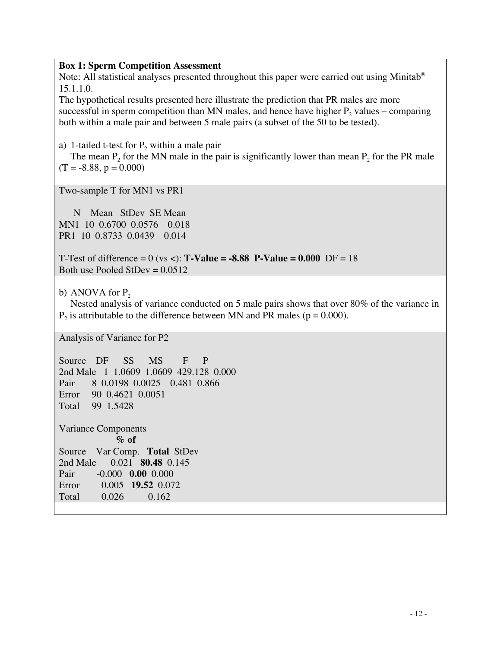### **Box 1: Sperm Competition Assessment**

Note: All statistical analyses presented throughout this paper were carried out using Minitab<sup>®</sup> 15.1.1.0.

The hypothetical results presented here illustrate the prediction that PR males are more successful in sperm competition than MN males, and hence have higher  $P_2$  values – comparing both within a male pair and between 5 male pairs (a subset of the 50 to be tested).

a) 1-tailed t-test for  $P_2$  within a male pair

The mean  $P_2$  for the MN male in the pair is significantly lower than mean  $P_2$  for the PR male  $(T = -8.88, p = 0.000)$ 

Two-sample T for MN1 vs PR1

 N Mean StDev SE Mean MN1 10 0.6700 0.0576 0.018 PR1 10 0.8733 0.0439 0.014

T-Test of difference =  $0$  (vs <): **T-Value = -8.88 P-Value = 0.000** DF = 18 Both use Pooled StDev  $= 0.0512$ 

b) ANOVA for  $P_2$ 

Nested analysis of variance conducted on 5 male pairs shows that over 80% of the variance in  $P_2$  is attributable to the difference between MN and PR males ( $p = 0.000$ ).

Analysis of Variance for P2

Source DF SS MS F P 2nd Male 1 1.0609 1.0609 429.128 0.000 Pair 8 0.0198 0.0025 0.481 0.866 Error 90 0.4621 0.0051 Total 99 1.5428 Variance Components **% of** Source Var Comp. **Total** StDev 2nd Male 0.021 **80.48** 0.145 Pair -0.000 **0.00** 0.000 Error 0.005 **19.52** 0.072 Total 0.026 0.162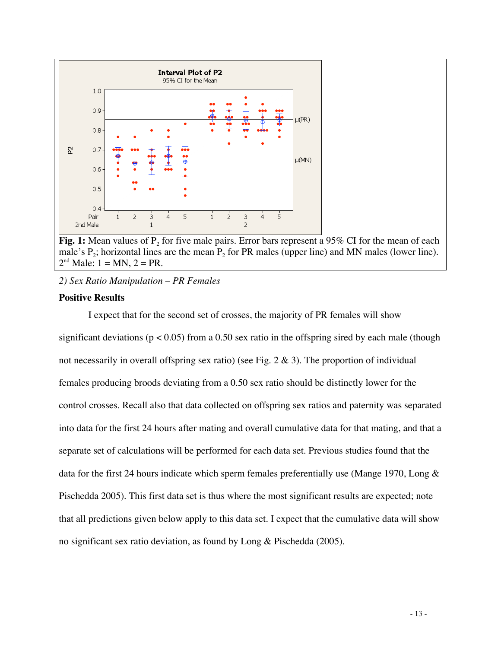

**Fig. 1:** Mean values of P<sub>2</sub> for five male pairs. Error bars represent a 95% CI for the mean of each male's  $P_2$ ; horizontal lines are the mean  $P_2$  for PR males (upper line) and MN males (lower line).  $2<sup>nd</sup>$  Male:  $1 = MN$ ,  $2 = PR$ .

# *2) Sex Ratio Manipulation – PR Females*

# **Positive Results**

I expect that for the second set of crosses, the majority of PR females will show significant deviations ( $p < 0.05$ ) from a 0.50 sex ratio in the offspring sired by each male (though not necessarily in overall offspring sex ratio) (see Fig.  $2 \& 3$ ). The proportion of individual females producing broods deviating from a 0.50 sex ratio should be distinctly lower for the control crosses. Recall also that data collected on offspring sex ratios and paternity was separated into data for the first 24 hours after mating and overall cumulative data for that mating, and that a separate set of calculations will be performed for each data set. Previous studies found that the data for the first 24 hours indicate which sperm females preferentially use (Mange 1970, Long & Pischedda 2005). This first data set is thus where the most significant results are expected; note that all predictions given below apply to this data set. I expect that the cumulative data will show no significant sex ratio deviation, as found by Long & Pischedda (2005).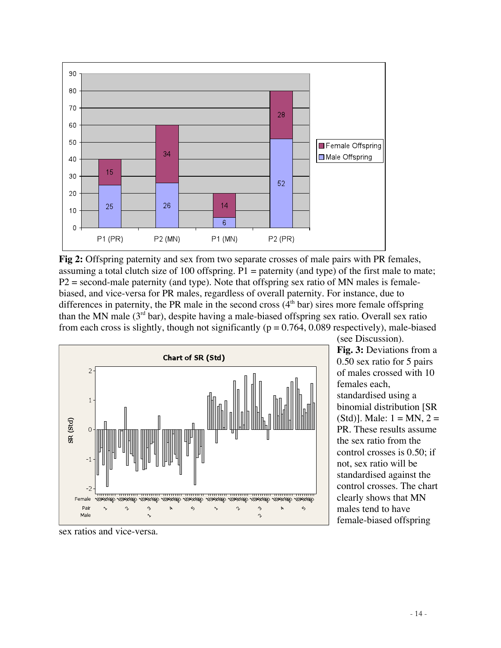

**Fig 2:** Offspring paternity and sex from two separate crosses of male pairs with PR females, assuming a total clutch size of 100 offspring.  $P1$  = paternity (and type) of the first male to mate;  $P2$  = second-male paternity (and type). Note that offspring sex ratio of MN males is femalebiased, and vice-versa for PR males, regardless of overall paternity. For instance, due to differences in paternity, the PR male in the second cross  $(4<sup>th</sup> bar)$  sires more female offspring than the MN male  $(3<sup>rd</sup> bar)$ , despite having a male-biased offspring sex ratio. Overall sex ratio from each cross is slightly, though not significantly ( $p = 0.764$ , 0.089 respectively), male-biased



(see Discussion). **Fig. 3:** Deviations from a 0.50 sex ratio for 5 pairs of males crossed with 10 females each, standardised using a binomial distribution [SR (Std)]. Male:  $1 = MN$ ,  $2 =$ PR. These results assume the sex ratio from the control crosses is 0.50; if not, sex ratio will be standardised against the control crosses. The chart clearly shows that MN males tend to have female-biased offspring

sex ratios and vice-versa.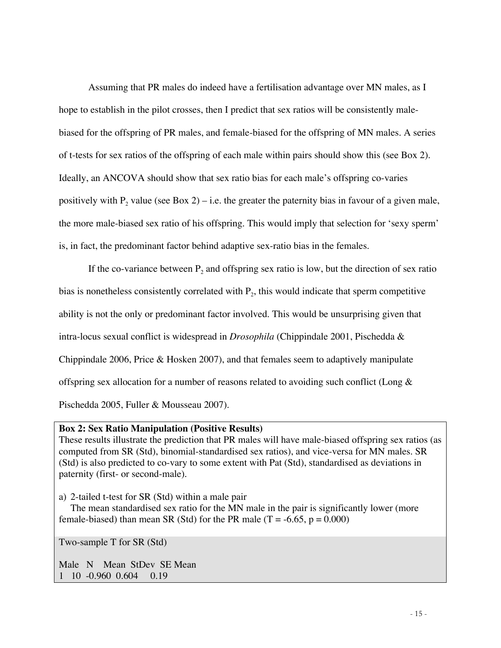Assuming that PR males do indeed have a fertilisation advantage over MN males, as I hope to establish in the pilot crosses, then I predict that sex ratios will be consistently malebiased for the offspring of PR males, and female-biased for the offspring of MN males. A series of t-tests for sex ratios of the offspring of each male within pairs should show this (see Box 2). Ideally, an ANCOVA should show that sex ratio bias for each male's offspring co-varies positively with  $P_2$  value (see Box 2) – i.e. the greater the paternity bias in favour of a given male, the more male-biased sex ratio of his offspring. This would imply that selection for 'sexy sperm' is, in fact, the predominant factor behind adaptive sex-ratio bias in the females.

If the co-variance between  $P_2$  and offspring sex ratio is low, but the direction of sex ratio bias is nonetheless consistently correlated with  $P_2$ , this would indicate that sperm competitive ability is not the only or predominant factor involved. This would be unsurprising given that intra-locus sexual conflict is widespread in *Drosophila* (Chippindale 2001, Pischedda & Chippindale 2006, Price & Hosken 2007), and that females seem to adaptively manipulate offspring sex allocation for a number of reasons related to avoiding such conflict (Long & Pischedda 2005, Fuller & Mousseau 2007).

### **Box 2: Sex Ratio Manipulation (Positive Results)**

These results illustrate the prediction that PR males will have male-biased offspring sex ratios (as computed from SR (Std), binomial-standardised sex ratios), and vice-versa for MN males. SR (Std) is also predicted to co-vary to some extent with Pat (Std), standardised as deviations in paternity (first- or second-male).

a) 2-tailed t-test for SR (Std) within a male pair

The mean standardised sex ratio for the MN male in the pair is significantly lower (more female-biased) than mean SR (Std) for the PR male  $(T = -6.65, p = 0.000)$ 

Two-sample T for SR (Std)

Male N Mean StDev SE Mean<br>1 10 -0.960 0.604 0.19  $1 \quad 10 \quad -0.960 \quad 0.604$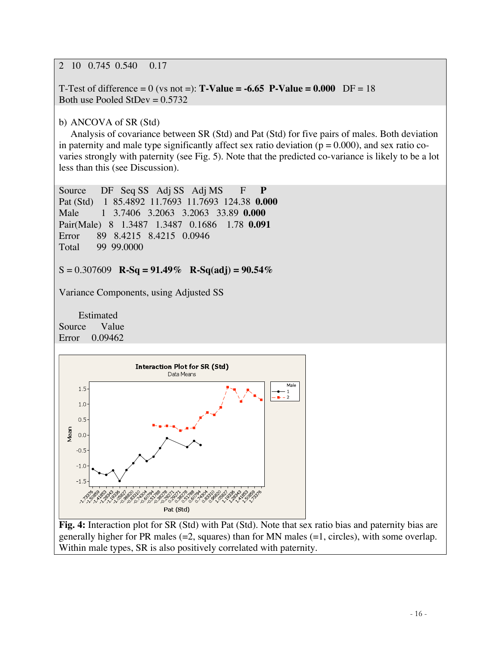2 10 0.745 0.540 0.17

T-Test of difference = 0 (vs not =): **T-Value = -6.65 P-Value = 0.000** DF = 18 Both use Pooled StDev  $= 0.5732$ 

b) ANCOVA of SR (Std)

Analysis of covariance between SR (Std) and Pat (Std) for five pairs of males. Both deviation in paternity and male type significantly affect sex ratio deviation ( $p = 0.000$ ), and sex ratio covaries strongly with paternity (see Fig. 5). Note that the predicted co-variance is likely to be a lot less than this (see Discussion).

Source DF Seq SS Adj SS Adj MS F **P** Pat (Std) 1 85.4892 11.7693 11.7693 124.38 **0.000** Male 1 3.7406 3.2063 3.2063 33.89 **0.000** Pair(Male) 8 1.3487 1.3487 0.1686 1.78 **0.091** Error 89 8.4215 8.4215 0.0946 Total 99 99.0000

S = 0.307609 **R-Sq = 91.49% R-Sq(adj) = 90.54%**

Variance Components, using Adjusted SS

 Estimated Source Value Error 0.09462



**Fig. 4:** Interaction plot for SR (Std) with Pat (Std). Note that sex ratio bias and paternity bias are generally higher for PR males (=2, squares) than for MN males (=1, circles), with some overlap. Within male types, SR is also positively correlated with paternity.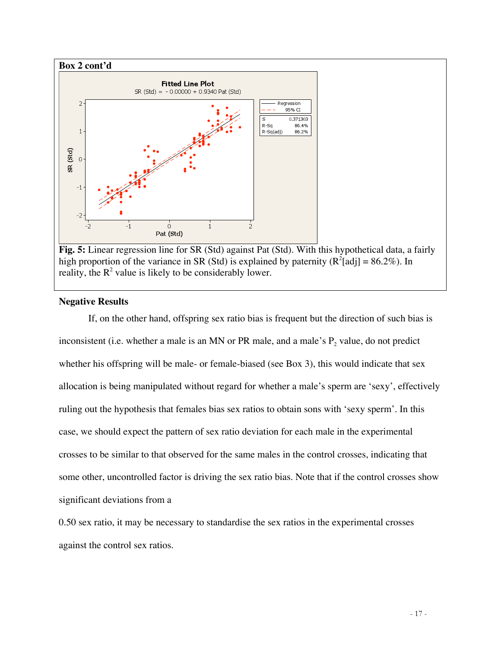



## **Negative Results**

If, on the other hand, offspring sex ratio bias is frequent but the direction of such bias is inconsistent (i.e. whether a male is an MN or PR male, and a male's  $P_2$  value, do not predict whether his offspring will be male- or female-biased (see Box 3), this would indicate that sex allocation is being manipulated without regard for whether a male's sperm are 'sexy', effectively ruling out the hypothesis that females bias sex ratios to obtain sons with 'sexy sperm'. In this case, we should expect the pattern of sex ratio deviation for each male in the experimental crosses to be similar to that observed for the same males in the control crosses, indicating that some other, uncontrolled factor is driving the sex ratio bias. Note that if the control crosses show significant deviations from a

0.50 sex ratio, it may be necessary to standardise the sex ratios in the experimental crosses against the control sex ratios.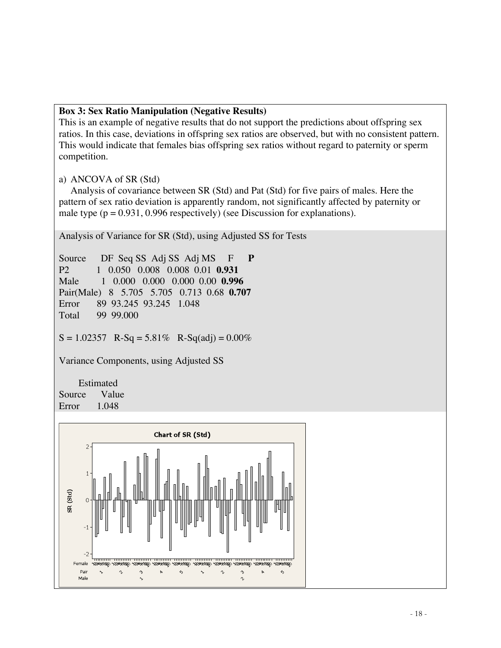# **Box 3: Sex Ratio Manipulation (Negative Results)**

This is an example of negative results that do not support the predictions about offspring sex ratios. In this case, deviations in offspring sex ratios are observed, but with no consistent pattern. This would indicate that females bias offspring sex ratios without regard to paternity or sperm competition.

# a) ANCOVA of SR (Std)

Analysis of covariance between SR (Std) and Pat (Std) for five pairs of males. Here the pattern of sex ratio deviation is apparently random, not significantly affected by paternity or male type ( $p = 0.931$ , 0.996 respectively) (see Discussion for explanations).

Analysis of Variance for SR (Std), using Adjusted SS for Tests

Source DF Seq SS Adj SS Adj MS F **P** P2 1 0.050 0.008 0.008 0.01 **0.931** Male 1 0.000 0.000 0.000 0.00 **0.996** Pair(Male) 8 5.705 5.705 0.713 0.68 **0.707** Error 89 93.245 93.245 1.048<br>Total 99 99.000 99.000  $S = 1.02357$  R-Sq = 5.81% R-Sq(adj) = 0.00%

Variance Components, using Adjusted SS

 Estimated Source Value Error 1.048

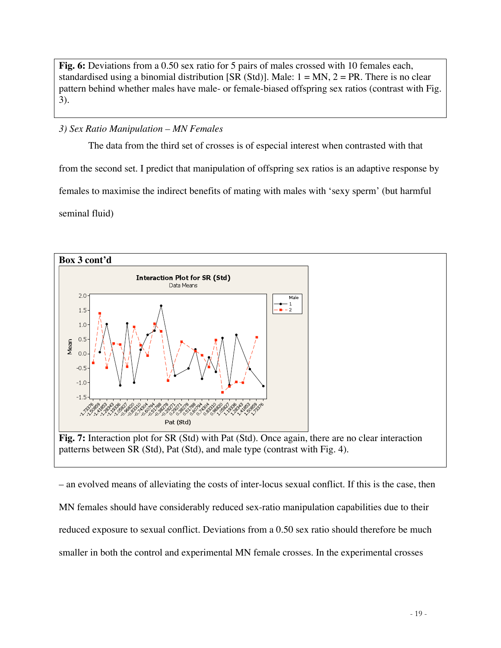**Fig. 6:** Deviations from a 0.50 sex ratio for 5 pairs of males crossed with 10 females each, standardised using a binomial distribution [SR (Std)]. Male:  $1 = MN$ ,  $2 = PR$ . There is no clear pattern behind whether males have male- or female-biased offspring sex ratios (contrast with Fig. 3).

# *3) Sex Ratio Manipulation – MN Females*

The data from the third set of crosses is of especial interest when contrasted with that from the second set. I predict that manipulation of offspring sex ratios is an adaptive response by females to maximise the indirect benefits of mating with males with 'sexy sperm' (but harmful seminal fluid)



– an evolved means of alleviating the costs of inter-locus sexual conflict. If this is the case, then MN females should have considerably reduced sex-ratio manipulation capabilities due to their reduced exposure to sexual conflict. Deviations from a 0.50 sex ratio should therefore be much smaller in both the control and experimental MN female crosses. In the experimental crosses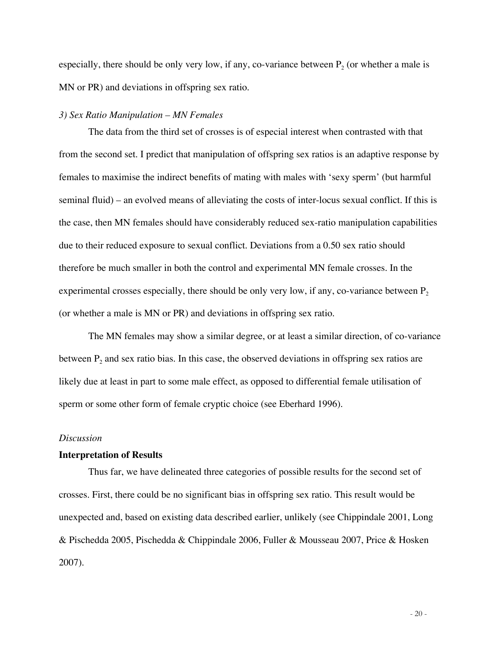especially, there should be only very low, if any, co-variance between  $P_2$  (or whether a male is MN or PR) and deviations in offspring sex ratio.

## *3) Sex Ratio Manipulation – MN Females*

The data from the third set of crosses is of especial interest when contrasted with that from the second set. I predict that manipulation of offspring sex ratios is an adaptive response by females to maximise the indirect benefits of mating with males with 'sexy sperm' (but harmful seminal fluid) – an evolved means of alleviating the costs of inter-locus sexual conflict. If this is the case, then MN females should have considerably reduced sex-ratio manipulation capabilities due to their reduced exposure to sexual conflict. Deviations from a 0.50 sex ratio should therefore be much smaller in both the control and experimental MN female crosses. In the experimental crosses especially, there should be only very low, if any, co-variance between  $P_2$ (or whether a male is MN or PR) and deviations in offspring sex ratio.

The MN females may show a similar degree, or at least a similar direction, of co-variance between  $P_2$  and sex ratio bias. In this case, the observed deviations in offspring sex ratios are likely due at least in part to some male effect, as opposed to differential female utilisation of sperm or some other form of female cryptic choice (see Eberhard 1996).

### *Discussion*

### **Interpretation of Results**

Thus far, we have delineated three categories of possible results for the second set of crosses. First, there could be no significant bias in offspring sex ratio. This result would be unexpected and, based on existing data described earlier, unlikely (see Chippindale 2001, Long & Pischedda 2005, Pischedda & Chippindale 2006, Fuller & Mousseau 2007, Price & Hosken 2007).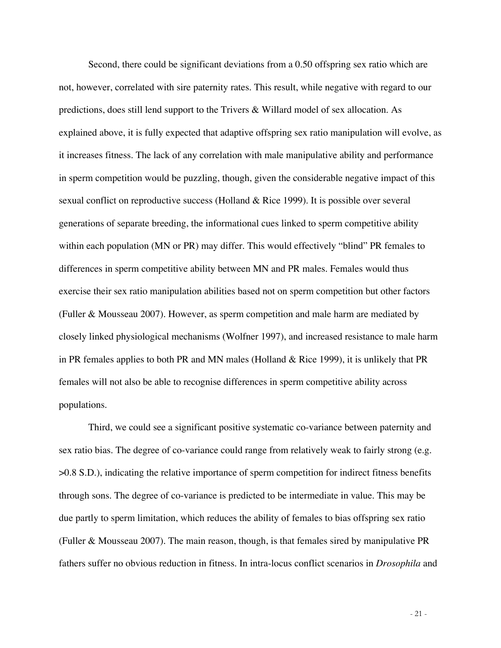Second, there could be significant deviations from a 0.50 offspring sex ratio which are not, however, correlated with sire paternity rates. This result, while negative with regard to our predictions, does still lend support to the Trivers & Willard model of sex allocation. As explained above, it is fully expected that adaptive offspring sex ratio manipulation will evolve, as it increases fitness. The lack of any correlation with male manipulative ability and performance in sperm competition would be puzzling, though, given the considerable negative impact of this sexual conflict on reproductive success (Holland & Rice 1999). It is possible over several generations of separate breeding, the informational cues linked to sperm competitive ability within each population (MN or PR) may differ. This would effectively "blind" PR females to differences in sperm competitive ability between MN and PR males. Females would thus exercise their sex ratio manipulation abilities based not on sperm competition but other factors (Fuller & Mousseau 2007). However, as sperm competition and male harm are mediated by closely linked physiological mechanisms (Wolfner 1997), and increased resistance to male harm in PR females applies to both PR and MN males (Holland & Rice 1999), it is unlikely that PR females will not also be able to recognise differences in sperm competitive ability across populations.

Third, we could see a significant positive systematic co-variance between paternity and sex ratio bias. The degree of co-variance could range from relatively weak to fairly strong (e.g. >0.8 S.D.), indicating the relative importance of sperm competition for indirect fitness benefits through sons. The degree of co-variance is predicted to be intermediate in value. This may be due partly to sperm limitation, which reduces the ability of females to bias offspring sex ratio (Fuller & Mousseau 2007). The main reason, though, is that females sired by manipulative PR fathers suffer no obvious reduction in fitness. In intra-locus conflict scenarios in *Drosophila* and

- 21 -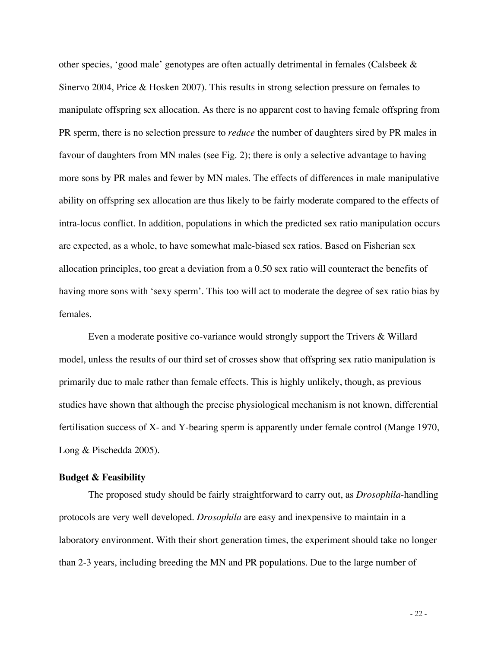other species, 'good male' genotypes are often actually detrimental in females (Calsbeek & Sinervo 2004, Price & Hosken 2007). This results in strong selection pressure on females to manipulate offspring sex allocation. As there is no apparent cost to having female offspring from PR sperm, there is no selection pressure to *reduce* the number of daughters sired by PR males in favour of daughters from MN males (see Fig. 2); there is only a selective advantage to having more sons by PR males and fewer by MN males. The effects of differences in male manipulative ability on offspring sex allocation are thus likely to be fairly moderate compared to the effects of intra-locus conflict. In addition, populations in which the predicted sex ratio manipulation occurs are expected, as a whole, to have somewhat male-biased sex ratios. Based on Fisherian sex allocation principles, too great a deviation from a 0.50 sex ratio will counteract the benefits of having more sons with 'sexy sperm'. This too will act to moderate the degree of sex ratio bias by females.

Even a moderate positive co-variance would strongly support the Trivers & Willard model, unless the results of our third set of crosses show that offspring sex ratio manipulation is primarily due to male rather than female effects. This is highly unlikely, though, as previous studies have shown that although the precise physiological mechanism is not known, differential fertilisation success of X- and Y-bearing sperm is apparently under female control (Mange 1970, Long & Pischedda 2005).

### **Budget & Feasibility**

The proposed study should be fairly straightforward to carry out, as *Drosophila*-handling protocols are very well developed. *Drosophila* are easy and inexpensive to maintain in a laboratory environment. With their short generation times, the experiment should take no longer than 2-3 years, including breeding the MN and PR populations. Due to the large number of

- 22 -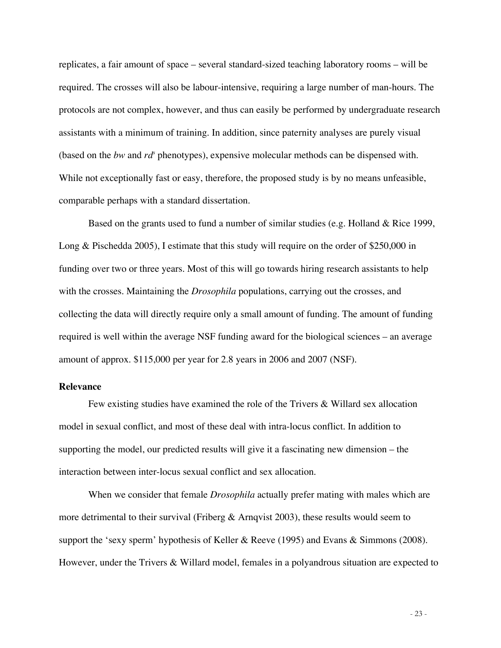replicates, a fair amount of space – several standard-sized teaching laboratory rooms – will be required. The crosses will also be labour-intensive, requiring a large number of man-hours. The protocols are not complex, however, and thus can easily be performed by undergraduate research assistants with a minimum of training. In addition, since paternity analyses are purely visual (based on the *bw* and rd<sup>*s*</sup> phenotypes), expensive molecular methods can be dispensed with. While not exceptionally fast or easy, therefore, the proposed study is by no means unfeasible, comparable perhaps with a standard dissertation.

Based on the grants used to fund a number of similar studies (e.g. Holland & Rice 1999, Long & Pischedda 2005), I estimate that this study will require on the order of \$250,000 in funding over two or three years. Most of this will go towards hiring research assistants to help with the crosses. Maintaining the *Drosophila* populations, carrying out the crosses, and collecting the data will directly require only a small amount of funding. The amount of funding required is well within the average NSF funding award for the biological sciences – an average amount of approx. \$115,000 per year for 2.8 years in 2006 and 2007 (NSF).

### **Relevance**

Few existing studies have examined the role of the Trivers & Willard sex allocation model in sexual conflict, and most of these deal with intra-locus conflict. In addition to supporting the model, our predicted results will give it a fascinating new dimension – the interaction between inter-locus sexual conflict and sex allocation.

When we consider that female *Drosophila* actually prefer mating with males which are more detrimental to their survival (Friberg & Arnqvist 2003), these results would seem to support the 'sexy sperm' hypothesis of Keller & Reeve (1995) and Evans & Simmons (2008). However, under the Trivers & Willard model, females in a polyandrous situation are expected to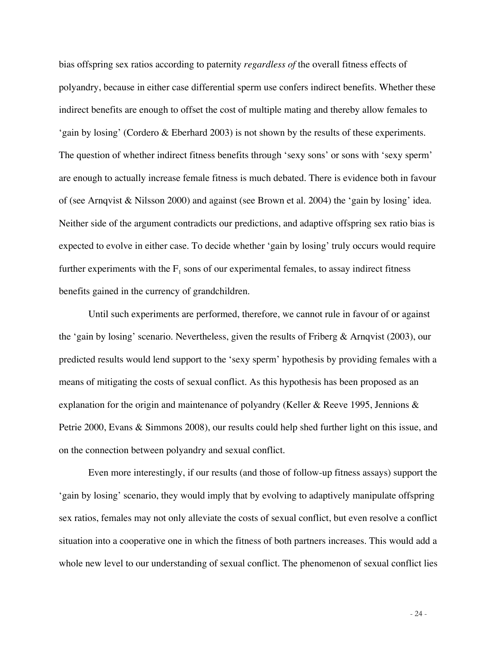bias offspring sex ratios according to paternity *regardless of* the overall fitness effects of polyandry, because in either case differential sperm use confers indirect benefits. Whether these indirect benefits are enough to offset the cost of multiple mating and thereby allow females to 'gain by losing' (Cordero & Eberhard 2003) is not shown by the results of these experiments. The question of whether indirect fitness benefits through 'sexy sons' or sons with 'sexy sperm' are enough to actually increase female fitness is much debated. There is evidence both in favour of (see Arnqvist & Nilsson 2000) and against (see Brown et al. 2004) the 'gain by losing' idea. Neither side of the argument contradicts our predictions, and adaptive offspring sex ratio bias is expected to evolve in either case. To decide whether 'gain by losing' truly occurs would require further experiments with the  $F_1$  sons of our experimental females, to assay indirect fitness benefits gained in the currency of grandchildren.

Until such experiments are performed, therefore, we cannot rule in favour of or against the 'gain by losing' scenario. Nevertheless, given the results of Friberg & Arnqvist (2003), our predicted results would lend support to the 'sexy sperm' hypothesis by providing females with a means of mitigating the costs of sexual conflict. As this hypothesis has been proposed as an explanation for the origin and maintenance of polyandry (Keller & Reeve 1995, Jennions & Petrie 2000, Evans & Simmons 2008), our results could help shed further light on this issue, and on the connection between polyandry and sexual conflict.

Even more interestingly, if our results (and those of follow-up fitness assays) support the 'gain by losing' scenario, they would imply that by evolving to adaptively manipulate offspring sex ratios, females may not only alleviate the costs of sexual conflict, but even resolve a conflict situation into a cooperative one in which the fitness of both partners increases. This would add a whole new level to our understanding of sexual conflict. The phenomenon of sexual conflict lies

- 24 -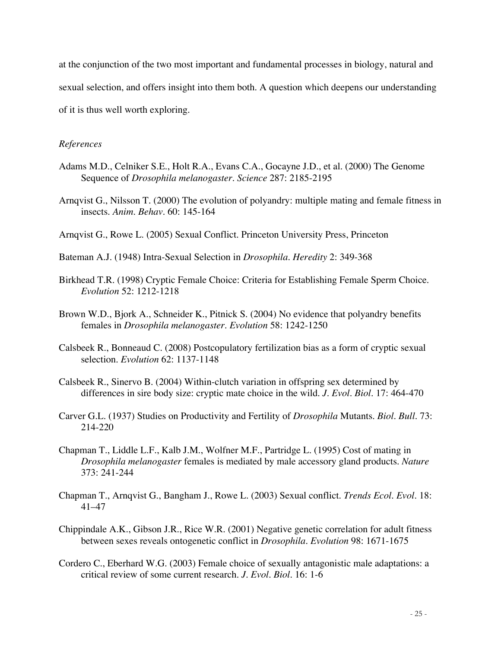at the conjunction of the two most important and fundamental processes in biology, natural and sexual selection, and offers insight into them both. A question which deepens our understanding of it is thus well worth exploring.

### *References*

- Adams M.D., Celniker S.E., Holt R.A., Evans C.A., Gocayne J.D., et al. (2000) The Genome Sequence of *Drosophila melanogaster*. *Science* 287: 2185-2195
- Arnqvist G., Nilsson T. (2000) The evolution of polyandry: multiple mating and female fitness in insects. *Anim. Behav.* 60: 145-164
- Arnqvist G., Rowe L. (2005) Sexual Conflict. Princeton University Press, Princeton
- Bateman A.J. (1948) Intra-Sexual Selection in *Drosophila*. *Heredity* 2: 349-368
- Birkhead T.R. (1998) Cryptic Female Choice: Criteria for Establishing Female Sperm Choice. *Evolution* 52: 1212-1218
- Brown W.D., Bjork A., Schneider K., Pitnick S. (2004) No evidence that polyandry benefits females in *Drosophila melanogaster*. *Evolution* 58: 1242-1250
- Calsbeek R., Bonneaud C. (2008) Postcopulatory fertilization bias as a form of cryptic sexual selection. *Evolution* 62: 1137-1148
- Calsbeek R., Sinervo B. (2004) Within-clutch variation in offspring sex determined by differences in sire body size: cryptic mate choice in the wild. *J. Evol. Biol.* 17: 464-470
- Carver G.L. (1937) Studies on Productivity and Fertility of *Drosophila* Mutants. *Biol. Bull.* 73: 214-220
- Chapman T., Liddle L.F., Kalb J.M., Wolfner M.F., Partridge L. (1995) Cost of mating in *Drosophila melanogaster* females is mediated by male accessory gland products. *Nature* 373: 241-244
- Chapman T., Arnqvist G., Bangham J., Rowe L. (2003) Sexual conflict. *Trends Ecol. Evol.* 18: 41–47
- Chippindale A.K., Gibson J.R., Rice W.R. (2001) Negative genetic correlation for adult fitness between sexes reveals ontogenetic conflict in *Drosophila*. *Evolution* 98: 1671-1675
- Cordero C., Eberhard W.G. (2003) Female choice of sexually antagonistic male adaptations: a critical review of some current research. *J. Evol. Biol.* 16: 1-6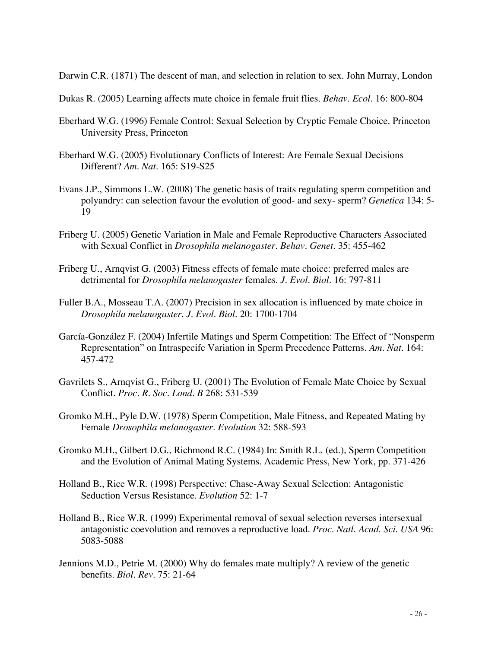Darwin C.R. (1871) The descent of man, and selection in relation to sex. John Murray, London

- Dukas R. (2005) Learning affects mate choice in female fruit flies. *Behav. Ecol.* 16: 800-804
- Eberhard W.G. (1996) Female Control: Sexual Selection by Cryptic Female Choice. Princeton University Press, Princeton
- Eberhard W.G. (2005) Evolutionary Conflicts of Interest: Are Female Sexual Decisions Different? *Am. Nat.* 165: S19-S25
- Evans J.P., Simmons L.W. (2008) The genetic basis of traits regulating sperm competition and polyandry: can selection favour the evolution of good- and sexy- sperm? *Genetica* 134: 5- 19
- Friberg U. (2005) Genetic Variation in Male and Female Reproductive Characters Associated with Sexual Conflict in *Drosophila melanogaster*. *Behav. Genet.* 35: 455-462
- Friberg U., Arnqvist G. (2003) Fitness effects of female mate choice: preferred males are detrimental for *Drosophila melanogaster* females. *J. Evol. Biol.* 16: 797-811
- Fuller B.A., Mosseau T.A. (2007) Precision in sex allocation is influenced by mate choice in *Drosophila melanogaster*. *J. Evol. Biol.* 20: 1700-1704
- García-González F. (2004) Infertile Matings and Sperm Competition: The Effect of "Nonsperm Representation" on Intraspecifc Variation in Sperm Precedence Patterns. *Am. Nat.* 164: 457-472
- Gavrilets S., Arnqvist G., Friberg U. (2001) The Evolution of Female Mate Choice by Sexual Conflict. *Proc. R. Soc. Lond. B* 268: 531-539
- Gromko M.H., Pyle D.W. (1978) Sperm Competition, Male Fitness, and Repeated Mating by Female *Drosophila melanogaster*. *Evolution* 32: 588-593
- Gromko M.H., Gilbert D.G., Richmond R.C. (1984) In: Smith R.L. (ed.), Sperm Competition and the Evolution of Animal Mating Systems. Academic Press, New York, pp. 371-426
- Holland B., Rice W.R. (1998) Perspective: Chase-Away Sexual Selection: Antagonistic Seduction Versus Resistance. *Evolution* 52: 1-7
- Holland B., Rice W.R. (1999) Experimental removal of sexual selection reverses intersexual antagonistic coevolution and removes a reproductive load. *Proc. Natl. Acad. Sci. USA* 96: 5083-5088
- Jennions M.D., Petrie M. (2000) Why do females mate multiply? A review of the genetic benefits. *Biol. Rev.* 75: 21-64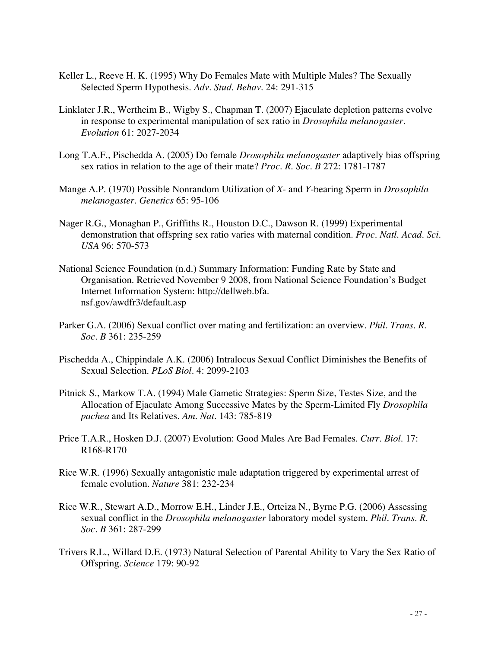- Keller L., Reeve H. K. (1995) Why Do Females Mate with Multiple Males? The Sexually Selected Sperm Hypothesis. *Adv. Stud. Behav.* 24: 291-315
- Linklater J.R., Wertheim B., Wigby S., Chapman T. (2007) Ejaculate depletion patterns evolve in response to experimental manipulation of sex ratio in *Drosophila melanogaster*. *Evolution* 61: 2027-2034
- Long T.A.F., Pischedda A. (2005) Do female *Drosophila melanogaster* adaptively bias offspring sex ratios in relation to the age of their mate? *Proc. R. Soc. B* 272: 1781-1787
- Mange A.P. (1970) Possible Nonrandom Utilization of *X* and *Y*-bearing Sperm in *Drosophila melanogaster*. *Genetics* 65: 95-106
- Nager R.G., Monaghan P., Griffiths R., Houston D.C., Dawson R. (1999) Experimental demonstration that offspring sex ratio varies with maternal condition. *Proc. Natl. Acad. Sci. USA* 96: 570-573
- National Science Foundation (n.d.) Summary Information: Funding Rate by State and Organisation. Retrieved November 9 2008, from National Science Foundation's Budget Internet Information System: http://dellweb.bfa. nsf.gov/awdfr3/default.asp
- Parker G.A. (2006) Sexual conflict over mating and fertilization: an overview. *Phil. Trans. R. Soc. B* 361: 235-259
- Pischedda A., Chippindale A.K. (2006) Intralocus Sexual Conflict Diminishes the Benefits of Sexual Selection. *PLoS Biol.* 4: 2099-2103
- Pitnick S., Markow T.A. (1994) Male Gametic Strategies: Sperm Size, Testes Size, and the Allocation of Ejaculate Among Successive Mates by the Sperm-Limited Fly *Drosophila pachea* and Its Relatives. *Am. Nat.* 143: 785-819
- Price T.A.R., Hosken D.J. (2007) Evolution: Good Males Are Bad Females. *Curr. Biol.* 17: R168-R170
- Rice W.R. (1996) Sexually antagonistic male adaptation triggered by experimental arrest of female evolution. *Nature* 381: 232-234
- Rice W.R., Stewart A.D., Morrow E.H., Linder J.E., Orteiza N., Byrne P.G. (2006) Assessing sexual conflict in the *Drosophila melanogaster* laboratory model system. *Phil. Trans. R. Soc. B* 361: 287-299
- Trivers R.L., Willard D.E. (1973) Natural Selection of Parental Ability to Vary the Sex Ratio of Offspring. *Science* 179: 90-92